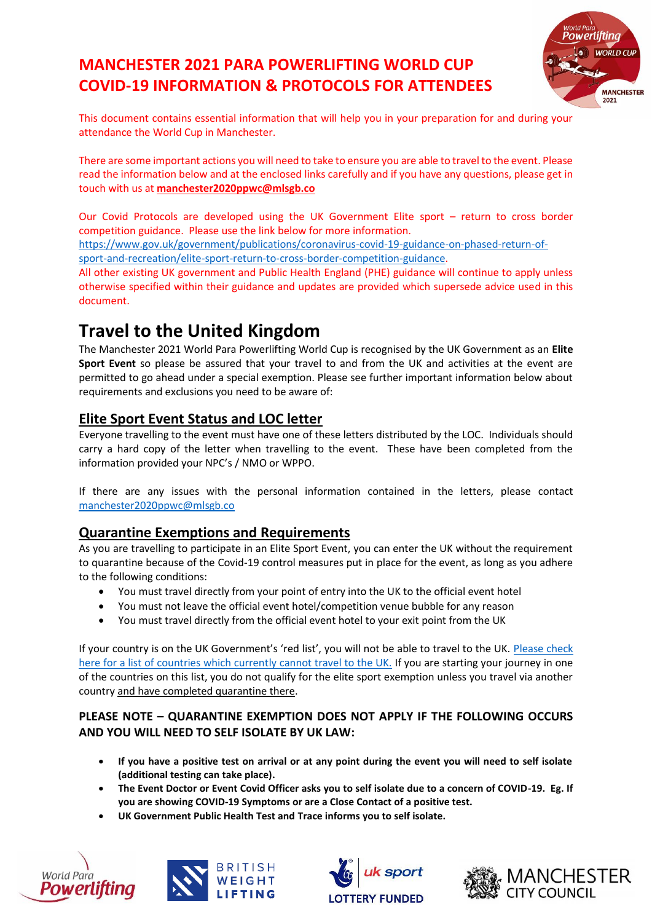## **MANCHESTER 2021 PARA POWERLIFTING WORLD CUP COVID-19 INFORMATION & PROTOCOLS FOR ATTENDEES**



This document contains essential information that will help you in your preparation for and during your attendance the World Cup in Manchester.

There are some important actions you will need to take to ensure you are able to travel to the event. Please read the information below and at the enclosed links carefully and if you have any questions, please get in touch with us at **[manchester2020ppwc@mlsgb.co](mailto:manchester2020ppwc@mlsgb.co)**

Our Covid Protocols are developed using the UK Government Elite sport – return to cross border competition guidance. Please use the link below for more information.

[https://www.gov.uk/government/publications/coronavirus-covid-19-guidance-on-phased-return-of](https://www.gov.uk/government/publications/coronavirus-covid-19-guidance-on-phased-return-of-sport-and-recreation/elite-sport-return-to-cross-border-competition-guidance)[sport-and-recreation/elite-sport-return-to-cross-border-competition-guidance.](https://www.gov.uk/government/publications/coronavirus-covid-19-guidance-on-phased-return-of-sport-and-recreation/elite-sport-return-to-cross-border-competition-guidance)

All other existing UK government and Public Health England (PHE) guidance will continue to apply unless otherwise specified within their guidance and updates are provided which supersede advice used in this document.

## **Travel to the United Kingdom**

The Manchester 2021 World Para Powerlifting World Cup is recognised by the UK Government as an **Elite Sport Event** so please be assured that your travel to and from the UK and activities at the event are permitted to go ahead under a special exemption. Please see further important information below about requirements and exclusions you need to be aware of:

#### **Elite Sport Event Status and LOC letter**

Everyone travelling to the event must have one of these letters distributed by the LOC. Individuals should carry a hard copy of the letter when travelling to the event. These have been completed from the information provided your NPC's / NMO or WPPO.

If there are any issues with the personal information contained in the letters, please contact [manchester2020ppwc@mlsgb.co](mailto:manchester2020ppwc@mlsgb.co)

#### **Quarantine Exemptions and Requirements**

As you are travelling to participate in an Elite Sport Event, you can enter the UK without the requirement to quarantine because of the Covid-19 control measures put in place for the event, as long as you adhere to the following conditions:

- You must travel directly from your point of entry into the UK to the official event hotel
- You must not leave the official event hotel/competition venue bubble for any reason
- You must travel directly from the official event hotel to your exit point from the UK

If your country is on the UK Government's 'red list', you will not be able to travel to the UK. Please check [here for a list of countries which currently cannot travel to the UK.](https://www.gov.uk/guidance/transport-measures-to-protect-the-uk-from-variant-strains-of-covid-19) If you are starting your journey in one of the countries on this list, you do not qualify for the elite sport exemption unless you travel via another country and have completed quarantine there.

#### **PLEASE NOTE – QUARANTINE EXEMPTION DOES NOT APPLY IF THE FOLLOWING OCCURS AND YOU WILL NEED TO SELF ISOLATE BY UK LAW:**

- **If you have a positive test on arrival or at any point during the event you will need to self isolate (additional testing can take place).**
- **The Event Doctor or Event Covid Officer asks you to self isolate due to a concern of COVID-19. Eg. If you are showing COVID-19 Symptoms or are a Close Contact of a positive test.**
- **UK Government Public Health Test and Trace informs you to self isolate.**







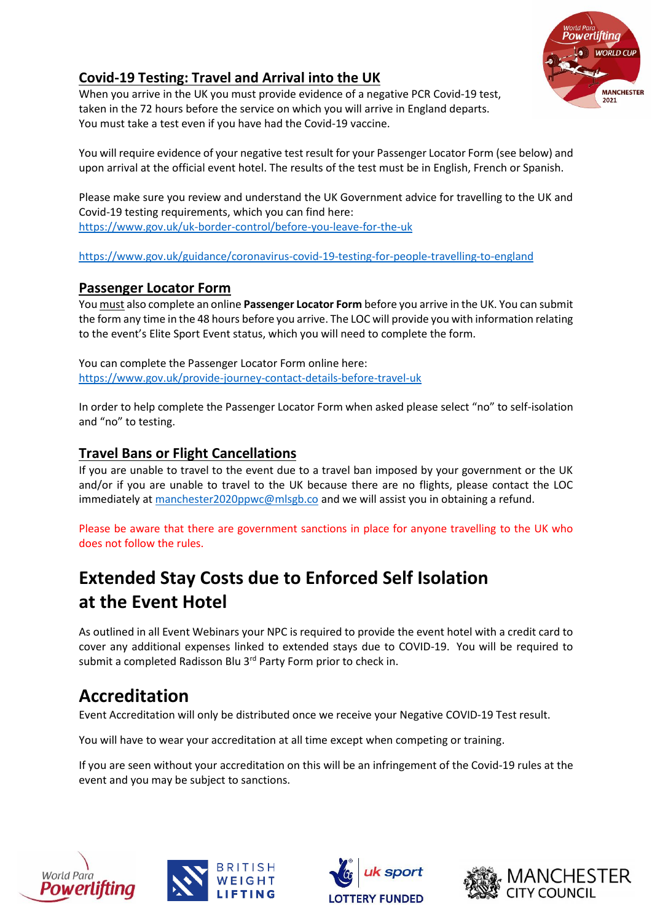

### **Covid-19 Testing: Travel and Arrival into the UK**

When you arrive in the UK you must provide evidence of a negative PCR Covid-19 test, taken in the 72 hours before the service on which you will arrive in England departs. You must take a test even if you have had the Covid-19 vaccine.

You will require evidence of your negative test result for your Passenger Locator Form (see below) and upon arrival at the official event hotel. The results of the test must be in English, French or Spanish.

Please make sure you review and understand the UK Government advice for travelling to the UK and Covid-19 testing requirements, which you can find here: <https://www.gov.uk/uk-border-control/before-you-leave-for-the-uk>

<https://www.gov.uk/guidance/coronavirus-covid-19-testing-for-people-travelling-to-england>

#### **Passenger Locator Form**

You must also complete an online **Passenger Locator Form** before you arrive in the UK. You can submit the form any time in the 48 hours before you arrive. The LOC will provide you with information relating to the event's Elite Sport Event status, which you will need to complete the form.

You can complete the Passenger Locator Form online here: <https://www.gov.uk/provide-journey-contact-details-before-travel-uk>

In order to help complete the Passenger Locator Form when asked please select "no" to self-isolation and "no" to testing.

#### **Travel Bans or Flight Cancellations**

If you are unable to travel to the event due to a travel ban imposed by your government or the UK and/or if you are unable to travel to the UK because there are no flights, please contact the LOC immediately a[t manchester2020ppwc@mlsgb.co](mailto:manchester2020ppwc@mlsgb.co) and we will assist you in obtaining a refund.

Please be aware that there are government sanctions in place for anyone travelling to the UK who does not follow the rules.

# **Extended Stay Costs due to Enforced Self Isolation at the Event Hotel**

As outlined in all Event Webinars your NPC is required to provide the event hotel with a credit card to cover any additional expenses linked to extended stays due to COVID-19. You will be required to submit a completed Radisson Blu 3<sup>rd</sup> Party Form prior to check in.

## **Accreditation**

Event Accreditation will only be distributed once we receive your Negative COVID-19 Test result.

You will have to wear your accreditation at all time except when competing or training.

If you are seen without your accreditation on this will be an infringement of the Covid-19 rules at the event and you may be subject to sanctions.







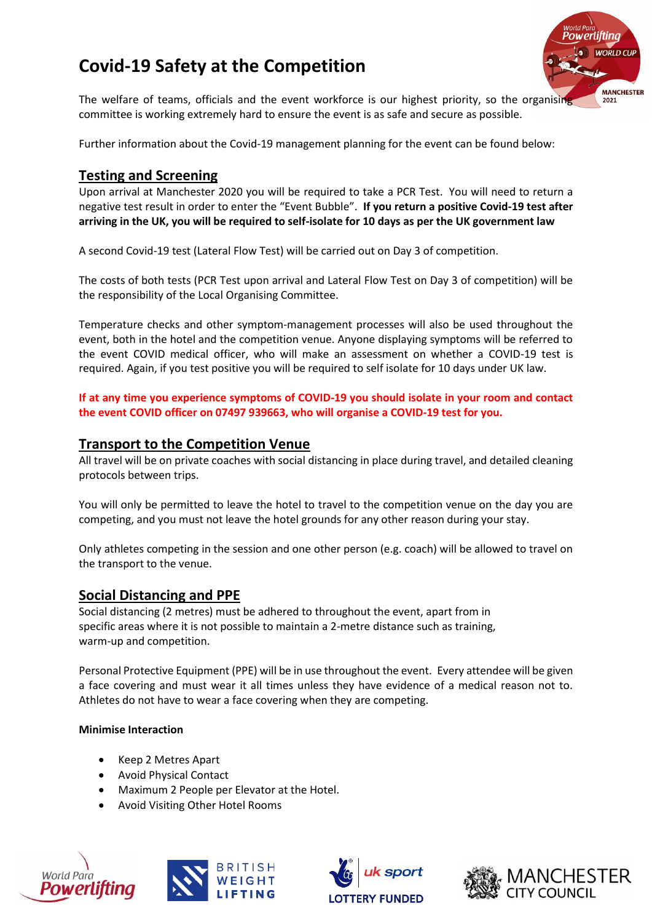# **Covid-19 Safety at the Competition**



The welfare of teams, officials and the event workforce is our highest priority, so the organising committee is working extremely hard to ensure the event is as safe and secure as possible.

Further information about the Covid-19 management planning for the event can be found below:

#### **Testing and Screening**

Upon arrival at Manchester 2020 you will be required to take a PCR Test. You will need to return a negative test result in order to enter the "Event Bubble". **If you return a positive Covid-19 test after arriving in the UK, you will be required to self-isolate for 10 days as per the UK government law**

A second Covid-19 test (Lateral Flow Test) will be carried out on Day 3 of competition.

The costs of both tests (PCR Test upon arrival and Lateral Flow Test on Day 3 of competition) will be the responsibility of the Local Organising Committee.

Temperature checks and other symptom-management processes will also be used throughout the event, both in the hotel and the competition venue. Anyone displaying symptoms will be referred to the event COVID medical officer, who will make an assessment on whether a COVID-19 test is required. Again, if you test positive you will be required to self isolate for 10 days under UK law.

**If at any time you experience symptoms of COVID-19 you should isolate in your room and contact the event COVID officer on 07497 939663, who will organise a COVID-19 test for you.**

#### **Transport to the Competition Venue**

All travel will be on private coaches with social distancing in place during travel, and detailed cleaning protocols between trips.

You will only be permitted to leave the hotel to travel to the competition venue on the day you are competing, and you must not leave the hotel grounds for any other reason during your stay.

Only athletes competing in the session and one other person (e.g. coach) will be allowed to travel on the transport to the venue.

#### **Social Distancing and PPE**

Social distancing (2 metres) must be adhered to throughout the event, apart from in specific areas where it is not possible to maintain a 2-metre distance such as training, warm-up and competition.

Personal Protective Equipment (PPE) will be in use throughout the event. Every attendee will be given a face covering and must wear it all times unless they have evidence of a medical reason not to. Athletes do not have to wear a face covering when they are competing.

#### **Minimise Interaction**

- Keep 2 Metres Apart
- Avoid Physical Contact
- Maximum 2 People per Elevator at the Hotel.
- Avoid Visiting Other Hotel Rooms







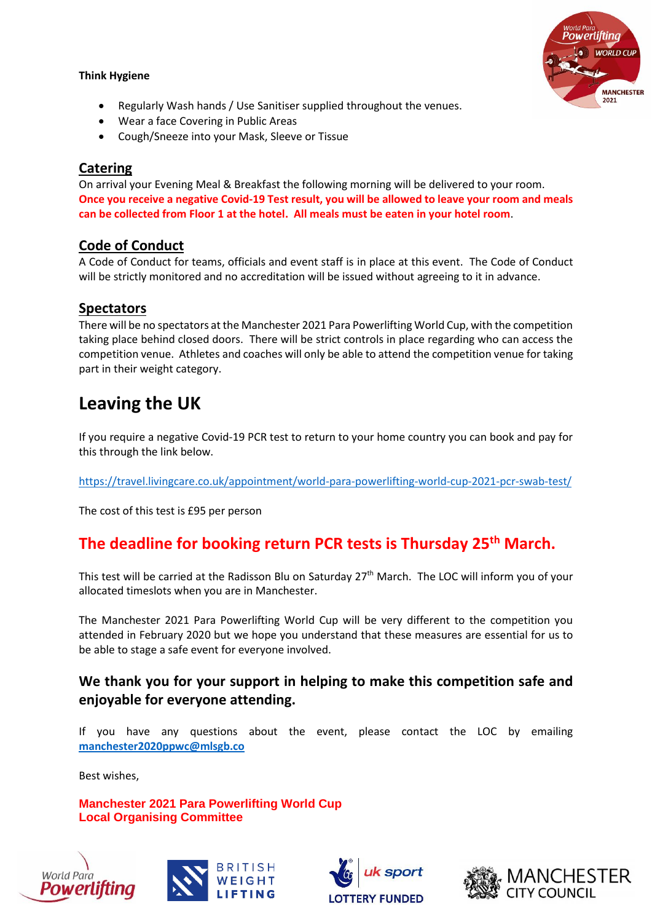#### **Think Hygiene**



- Regularly Wash hands / Use Sanitiser supplied throughout the venues.
- Wear a face Covering in Public Areas
- Cough/Sneeze into your Mask, Sleeve or Tissue

#### **Catering**

On arrival your Evening Meal & Breakfast the following morning will be delivered to your room. **Once you receive a negative Covid-19 Test result, you will be allowed to leave your room and meals can be collected from Floor 1 at the hotel. All meals must be eaten in your hotel room**.

#### **Code of Conduct**

A Code of Conduct for teams, officials and event staff is in place at this event. The Code of Conduct will be strictly monitored and no accreditation will be issued without agreeing to it in advance.

#### **Spectators**

There will be no spectators at the Manchester 2021 Para Powerlifting World Cup, with the competition taking place behind closed doors. There will be strict controls in place regarding who can access the competition venue. Athletes and coaches will only be able to attend the competition venue for taking part in their weight category.

### **Leaving the UK**

If you require a negative Covid-19 PCR test to return to your home country you can book and pay for this through the link below.

<https://travel.livingcare.co.uk/appointment/world-para-powerlifting-world-cup-2021-pcr-swab-test/>

The cost of this test is £95 per person

### **The deadline for booking return PCR tests is Thursday 25th March.**

This test will be carried at the Radisson Blu on Saturday 27<sup>th</sup> March. The LOC will inform you of your allocated timeslots when you are in Manchester.

The Manchester 2021 Para Powerlifting World Cup will be very different to the competition you attended in February 2020 but we hope you understand that these measures are essential for us to be able to stage a safe event for everyone involved.

#### **We thank you for your support in helping to make this competition safe and enjoyable for everyone attending.**

If you have any questions about the event, please contact the LOC by emailing **[manchester2020ppwc@mlsgb.co](mailto:manchester2020ppwc@mlsgb.co)**

Best wishes,

**Manchester 2021 Para Powerlifting World Cup Local Organising Committee**







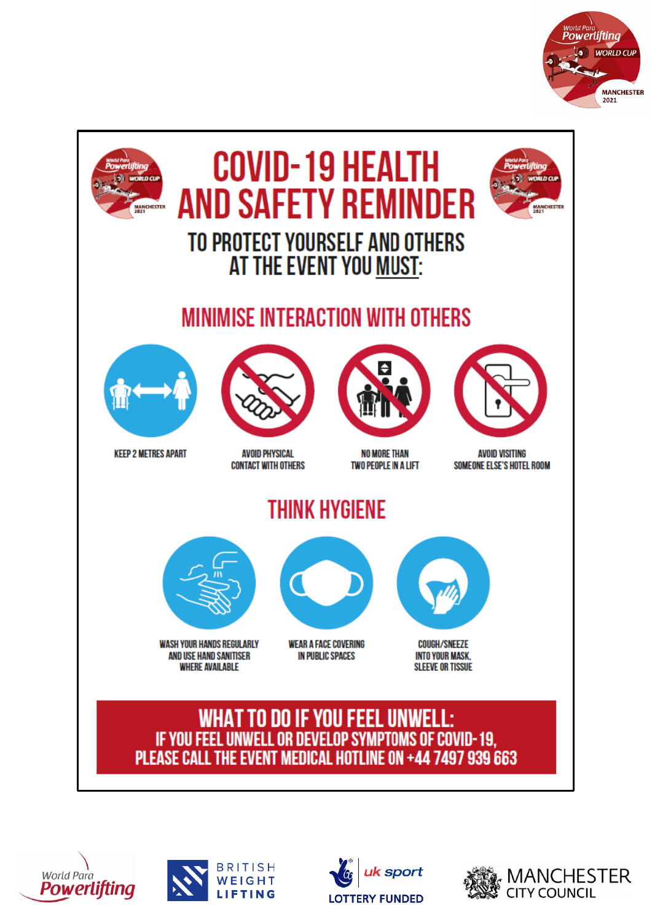